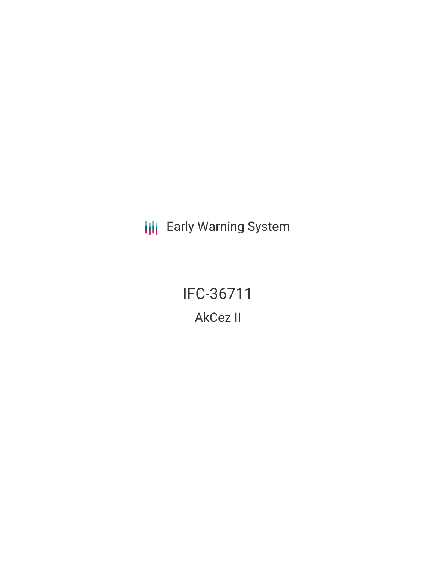**III** Early Warning System

IFC-36711 AkCez II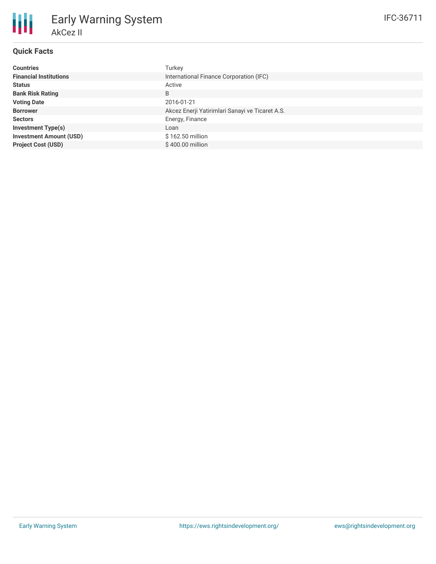# **Quick Facts**

朋

| <b>Countries</b>               | Turkey                                          |
|--------------------------------|-------------------------------------------------|
| <b>Financial Institutions</b>  | International Finance Corporation (IFC)         |
| <b>Status</b>                  | Active                                          |
| <b>Bank Risk Rating</b>        | B                                               |
| <b>Voting Date</b>             | 2016-01-21                                      |
| <b>Borrower</b>                | Akcez Enerji Yatirimlari Sanayi ve Ticaret A.S. |
| <b>Sectors</b>                 | Energy, Finance                                 |
| <b>Investment Type(s)</b>      | Loan                                            |
| <b>Investment Amount (USD)</b> | \$162.50 million                                |
| <b>Project Cost (USD)</b>      | $$400.00$ million                               |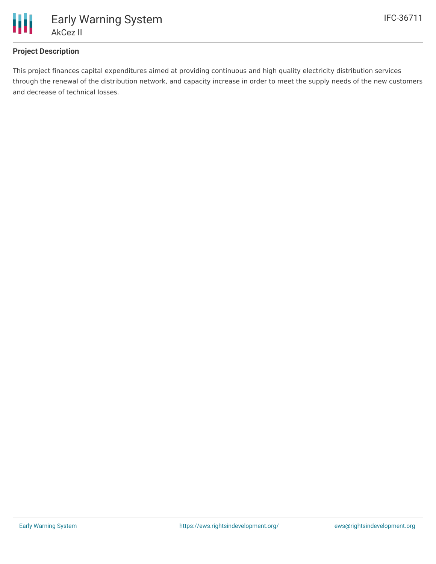

## **Project Description**

This project finances capital expenditures aimed at providing continuous and high quality electricity distribution services through the renewal of the distribution network, and capacity increase in order to meet the supply needs of the new customers and decrease of technical losses.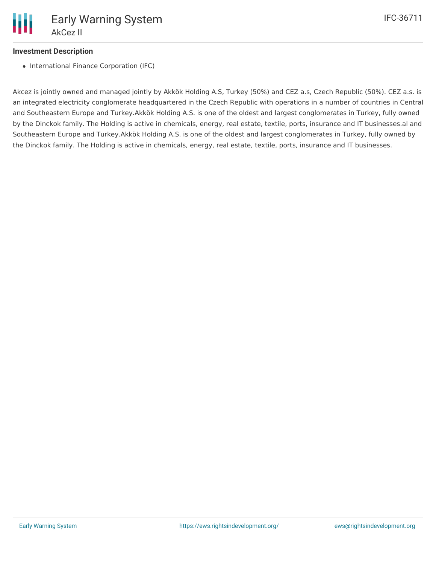

#### **Investment Description**

• International Finance Corporation (IFC)

Akcez is jointly owned and managed jointly by Akkök Holding A.S, Turkey (50%) and CEZ a.s, Czech Republic (50%). CEZ a.s. is an integrated electricity conglomerate headquartered in the Czech Republic with operations in a number of countries in Central and Southeastern Europe and Turkey.Akkök Holding A.S. is one of the oldest and largest conglomerates in Turkey, fully owned by the Dinckok family. The Holding is active in chemicals, energy, real estate, textile, ports, insurance and IT businesses.al and Southeastern Europe and Turkey.Akkök Holding A.S. is one of the oldest and largest conglomerates in Turkey, fully owned by the Dinckok family. The Holding is active in chemicals, energy, real estate, textile, ports, insurance and IT businesses.